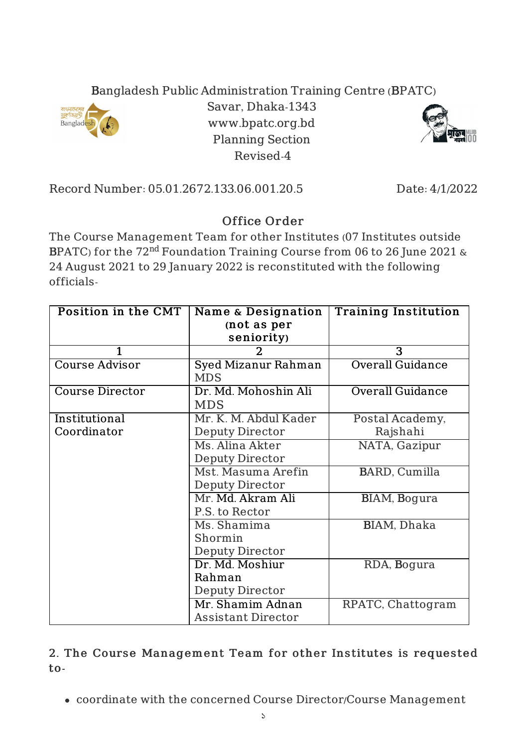## Bangladesh Public Administration Training Centre (BPATC)



Savar, Dhaka-1343 www.bpatc.org.bd Planning Section Revised-4



Record Number: 05.01.2672.133.06.001.20.5 Date: 4/1/2022

## Office Order

The Course Management Team for other Institutes (07 Institutes outside BPATC) for the  $72^{\rm nd}$  Foundation Training Course from 06 to 26 June 2021  $\&$ 24 August 2021 to 29 January 2022 is reconstituted with the following officials-

| Position in the CMT    | Name & Designation        | <b>Training Institution</b> |
|------------------------|---------------------------|-----------------------------|
|                        | (not as per               |                             |
|                        | seniority)                |                             |
| 1                      | 2                         | $\overline{3}$              |
| <b>Course Advisor</b>  | Syed Mizanur Rahman       | <b>Overall Guidance</b>     |
|                        | <b>MDS</b>                |                             |
| <b>Course Director</b> | Dr. Md. Mohoshin Ali      | <b>Overall Guidance</b>     |
|                        | <b>MDS</b>                |                             |
| Institutional          | Mr. K. M. Abdul Kader     | Postal Academy,             |
| Coordinator            | <b>Deputy Director</b>    | Rajshahi                    |
|                        | Ms. Alina Akter           | NATA, Gazipur               |
|                        | Deputy Director           |                             |
|                        | Mst. Masuma Arefin        | BARD, Cumilla               |
|                        | Deputy Director           |                             |
|                        | Mr. Md. Akram Ali         | BIAM, Bogura                |
|                        | P.S. to Rector            |                             |
|                        | Ms. Shamima               | BIAM, Dhaka                 |
|                        | Shormin                   |                             |
|                        | Deputy Director           |                             |
|                        | Dr. Md. Moshiur           | RDA, Bogura                 |
|                        | Rahman                    |                             |
|                        | <b>Deputy Director</b>    |                             |
|                        | Mr. Shamim Adnan          | RPATC, Chattogram           |
|                        | <b>Assistant Director</b> |                             |

## 2. The Course Management Team for other Institutes is requested to-

coordinate with the concerned Course Director/Course Management